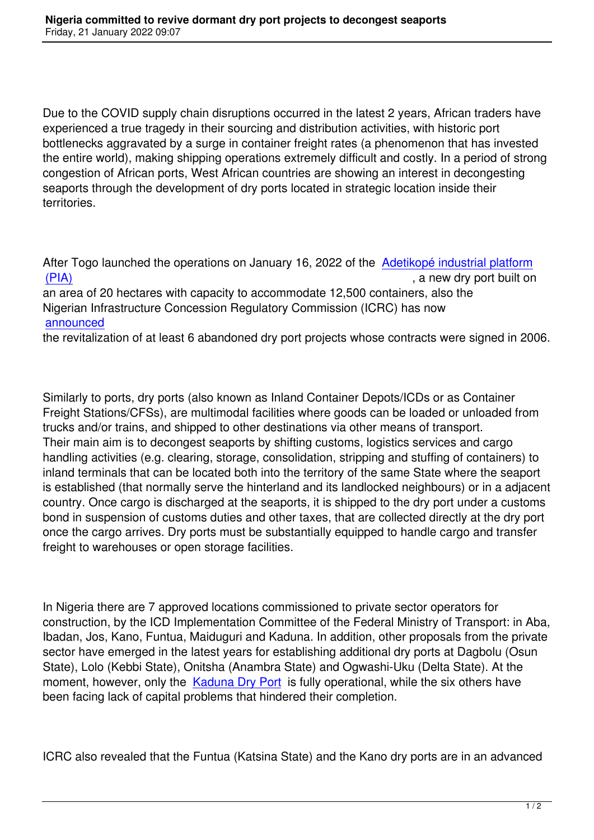Due to the COVID supply chain disruptions occurred in the latest 2 years, African traders have experienced a true tragedy in their sourcing and distribution activities, with historic port bottlenecks aggravated by a surge in container freight rates (a phenomenon that has invested the entire world), making shipping operations extremely difficult and costly. In a period of strong congestion of African ports, West African countries are showing an interest in decongesting seaports through the development of dry ports located in strategic location inside their territories.

After Togo launched the operations on January 16, 2022 of the Adetikopé industrial platform (PIA) , a new dry port built on

an area of 20 hectares with capacity to accommodate 12,500 containers, also the Nigerian Infrastructure Concession Regulatory Commission (IC[RC\) has now](https://www.togofirst.com/en/transport/1701-9256-togo-dry-port-of-adetikope-now-operational)  [annou](https://www.togofirst.com/en/transport/1701-9256-togo-dry-port-of-adetikope-now-operational)nced

the revitalization of at least 6 abandoned dry port projects whose contracts were signed in 2006.

Similarly to ports, dry ports (also known as Inland Container Depots/ICDs or as Container Freight Stations/CFSs), are multimodal facilities where goods can be loaded or unloaded from trucks and/or trains, and shipped to other destinations via other means of transport. Their main aim is to decongest seaports by shifting customs, logistics services and cargo handling activities (e.g. clearing, storage, consolidation, stripping and stuffing of containers) to inland terminals that can be located both into the territory of the same State where the seaport is established (that normally serve the hinterland and its landlocked neighbours) or in a adjacent country. Once cargo is discharged at the seaports, it is shipped to the dry port under a customs bond in suspension of customs duties and other taxes, that are collected directly at the dry port once the cargo arrives. Dry ports must be substantially equipped to handle cargo and transfer freight to warehouses or open storage facilities.

In Nigeria there are 7 approved locations commissioned to private sector operators for construction, by the ICD Implementation Committee of the Federal Ministry of Transport: in Aba, Ibadan, Jos, Kano, Funtua, Maiduguri and Kaduna. In addition, other proposals from the private sector have emerged in the latest years for establishing additional dry ports at Dagbolu (Osun State), Lolo (Kebbi State), Onitsha (Anambra State) and Ogwashi-Uku (Delta State). At the moment, however, only the Kaduna Dry Port is fully operational, while the six others have been facing lack of capital problems that hindered their completion.

ICRC also revealed that the Funtua (Katsina State) and the Kano dry ports are in an advanced